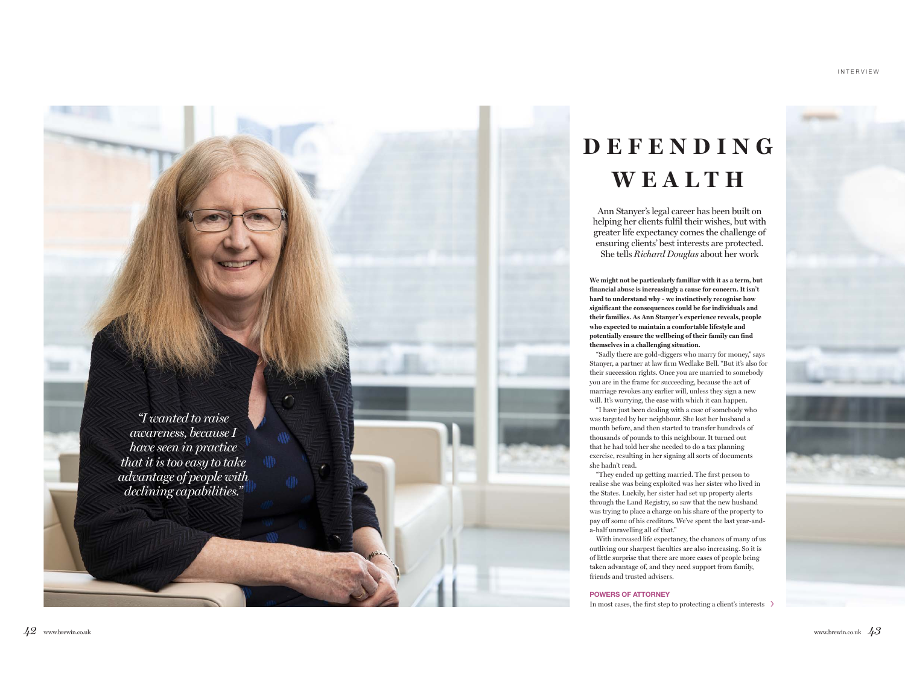# **D E F E N D I N G W E A L T H**

Ann Stanyer's legal career has been built on helping her clients fulfil their wishes, but with greater life expectancy comes the challenge of ensuring clients' best interests are protected. She tells *Richard Douglas* about her work

**We might not be particularly familiar with it as a term, but financial abuse is increasingly a cause for concern. It isn't hard to understand why – we instinctively recognise how significant the consequences could be for individuals and their families. As Ann Stanyer's experience reveals, people who expected to maintain a comfortable lifestyle and potentially ensure the wellbeing of their family can find themselves in a challenging situation.**

"Sadly there are gold-diggers who marry for money," says Stanyer, a partner at law firm Wedlake Bell. "But it's also for their succession rights. Once you are married to somebody you are in the frame for succeeding, because the act of marriage revokes any earlier will, unless they sign a new will. It's worrying, the ease with which it can happen.

"I have just been dealing with a case of somebody who was targeted by her neighbour. She lost her husband a month before, and then started to transfer hundreds of thousands of pounds to this neighbour. It turned out that he had told her she needed to do a tax planning exercise, resulting in her signing all sorts of documents she hadn't read.

"They ended up getting married. The first person to realise she was being exploited was her sister who lived in the States. Luckily, her sister had set up property alerts through the Land Registry, so saw that the new husband was trying to place a charge on his share of the property to pay off some of his creditors. We've spent the last year-anda-half unravelling all of that."

With increased life expectancy, the chances of many of us outliving our sharpest faculties are also increasing. So it is of little surprise that there are more cases of people being taken advantage of, and they need support from family, friends and trusted advisers.

#### POWERS OF ATTORNEY

In most cases, the first step to protecting a client's interests

*"I wanted to raise awareness, because I have seen in practice that it is too easy to take advantage of people with declining capabilities."*